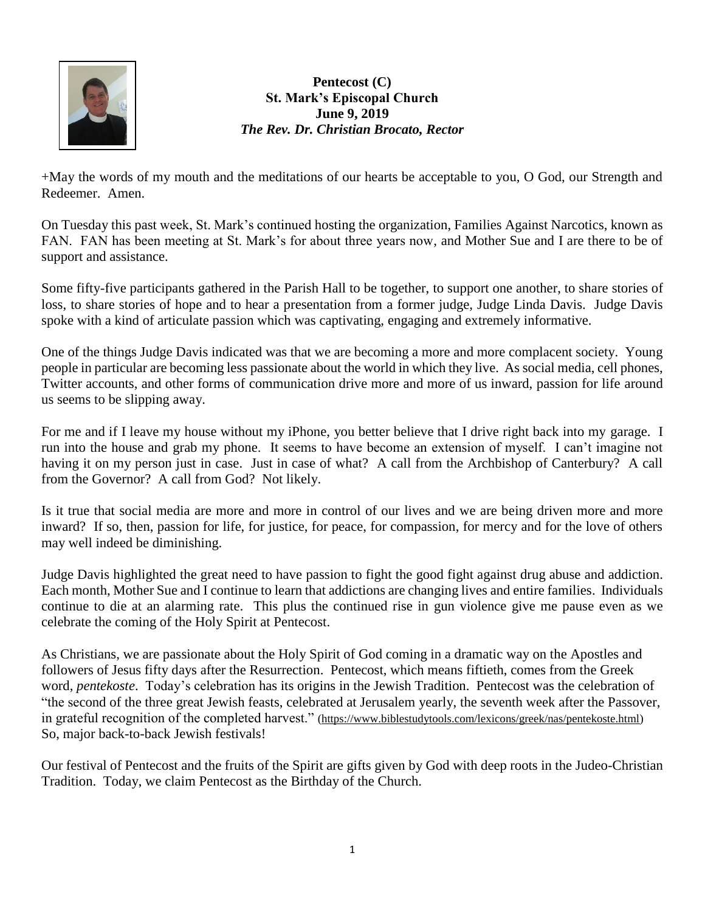

**Pentecost (C) St. Mark's Episcopal Church June 9, 2019** *The Rev. Dr. Christian Brocato, Rector*

+May the words of my mouth and the meditations of our hearts be acceptable to you, O God, our Strength and Redeemer. Amen.

On Tuesday this past week, St. Mark's continued hosting the organization, Families Against Narcotics, known as FAN. FAN has been meeting at St. Mark's for about three years now, and Mother Sue and I are there to be of support and assistance.

Some fifty-five participants gathered in the Parish Hall to be together, to support one another, to share stories of loss, to share stories of hope and to hear a presentation from a former judge, Judge Linda Davis. Judge Davis spoke with a kind of articulate passion which was captivating, engaging and extremely informative.

One of the things Judge Davis indicated was that we are becoming a more and more complacent society. Young people in particular are becoming less passionate about the world in which they live. As social media, cell phones, Twitter accounts, and other forms of communication drive more and more of us inward, passion for life around us seems to be slipping away.

For me and if I leave my house without my iPhone, you better believe that I drive right back into my garage. I run into the house and grab my phone. It seems to have become an extension of myself. I can't imagine not having it on my person just in case. Just in case of what? A call from the Archbishop of Canterbury? A call from the Governor? A call from God? Not likely.

Is it true that social media are more and more in control of our lives and we are being driven more and more inward? If so, then, passion for life, for justice, for peace, for compassion, for mercy and for the love of others may well indeed be diminishing.

Judge Davis highlighted the great need to have passion to fight the good fight against drug abuse and addiction. Each month, Mother Sue and I continue to learn that addictions are changing lives and entire families. Individuals continue to die at an alarming rate. This plus the continued rise in gun violence give me pause even as we celebrate the coming of the Holy Spirit at Pentecost.

As Christians, we are passionate about the Holy Spirit of God coming in a dramatic way on the Apostles and followers of Jesus fifty days after the Resurrection. Pentecost, which means fiftieth, comes from the Greek word, *pentekoste*. Today's celebration has its origins in the Jewish Tradition. Pentecost was the celebration of "the second of the three great Jewish feasts, celebrated at Jerusalem yearly, the seventh week after the Passover, in grateful recognition of the completed harvest." [\(https://www.biblestudytools.com/lexicons/greek/nas/pentekoste.html\)](https://www.biblestudytools.com/lexicons/greek/nas/pentekoste.html) So, major back-to-back Jewish festivals!

Our festival of Pentecost and the fruits of the Spirit are gifts given by God with deep roots in the Judeo-Christian Tradition. Today, we claim Pentecost as the Birthday of the Church.